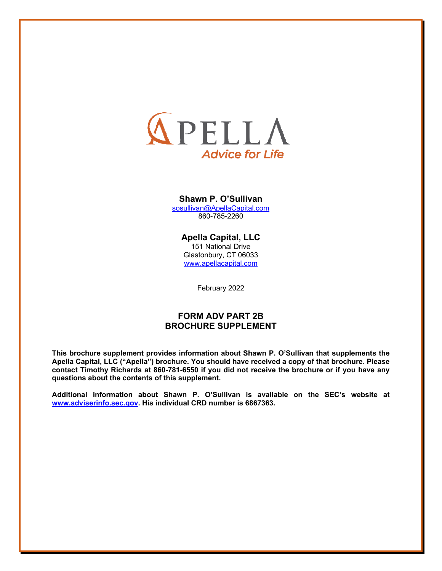

#### **Shawn P. O'Sullivan**

sosullivan@ApellaCapital.com 860-785-2260

## **Apella Capital, LLC**

151 National Drive Glastonbury, CT 06033 www.apellacapital.com

February 2022

## **FORM ADV PART 2B BROCHURE SUPPLEMENT**

**This brochure supplement provides information about Shawn P. O'Sullivan that supplements the Apella Capital, LLC ("Apella") brochure. You should have received a copy of that brochure. Please contact Timothy Richards at 860-781-6550 if you did not receive the brochure or if you have any questions about the contents of this supplement.**

**Additional information about Shawn P. O'Sullivan is available on the SEC's website at www.adviserinfo.sec.gov. His individual CRD number is 6867363.**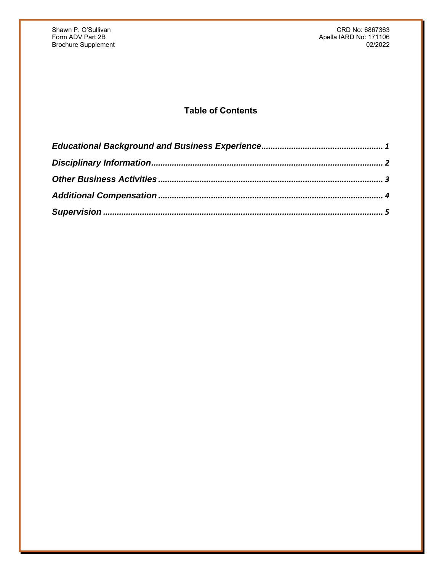Shawn P. O'Sullivan CRD Notes and CRD Notes and CRD Notes and CRD Notes and CRD Notes and CRD Notes and CRD No<br>
Form ADV Part 2B and CRD Notes and CRD Notes and CRD Notes and CRD Notes and CRD Notes and CRD Notes and CRD N Apella IARD No: 171106<br>02/2022

# **Table of Contents**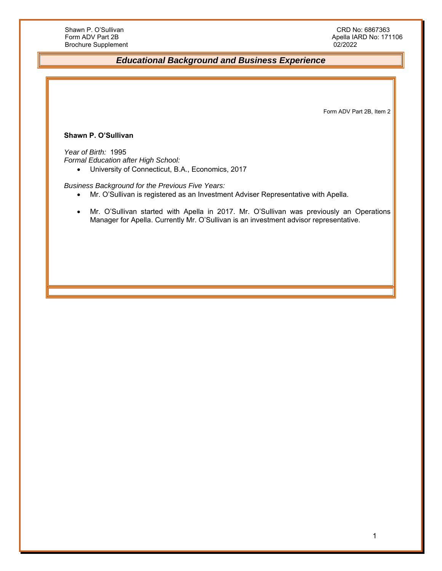## *Educational Background and Business Experience*

Form ADV Part 2B, Item 2

#### **Shawn P. O'Sullivan**

*Year of Birth:* 1995 *Formal Education after High School:* 

University of Connecticut, B.A., Economics, 2017

*Business Background for the Previous Five Years:* 

- Mr. O'Sullivan is registered as an Investment Adviser Representative with Apella.
- Mr. O'Sullivan started with Apella in 2017. Mr. O'Sullivan was previously an Operations Manager for Apella. Currently Mr. O'Sullivan is an investment advisor representative.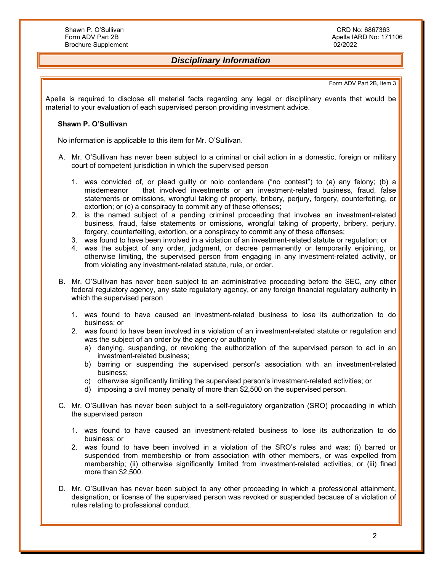## *Disciplinary Information*

#### Form ADV Part 2B, Item 3

Apella is required to disclose all material facts regarding any legal or disciplinary events that would be material to your evaluation of each supervised person providing investment advice.

#### **Shawn P. O'Sullivan**

No information is applicable to this item for Mr. O'Sullivan.

- A. Mr. O'Sullivan has never been subject to a criminal or civil action in a domestic, foreign or military court of competent jurisdiction in which the supervised person
	- 1. was convicted of, or plead guilty or nolo contendere ("no contest") to (a) any felony; (b) a misdemeanor that involved investments or an investment-related business, fraud, false statements or omissions, wrongful taking of property, bribery, perjury, forgery, counterfeiting, or extortion; or (c) a conspiracy to commit any of these offenses;
	- 2. is the named subject of a pending criminal proceeding that involves an investment-related business, fraud, false statements or omissions, wrongful taking of property, bribery, perjury, forgery, counterfeiting, extortion, or a conspiracy to commit any of these offenses;
	- 3. was found to have been involved in a violation of an investment-related statute or regulation; or
	- 4. was the subject of any order, judgment, or decree permanently or temporarily enjoining, or otherwise limiting, the supervised person from engaging in any investment-related activity, or from violating any investment-related statute, rule, or order.
- B. Mr. O'Sullivan has never been subject to an administrative proceeding before the SEC, any other federal regulatory agency, any state regulatory agency, or any foreign financial regulatory authority in which the supervised person
	- 1. was found to have caused an investment-related business to lose its authorization to do business; or
	- 2. was found to have been involved in a violation of an investment-related statute or regulation and was the subject of an order by the agency or authority
		- a) denying, suspending, or revoking the authorization of the supervised person to act in an investment-related business;
		- b) barring or suspending the supervised person's association with an investment-related business;
		- c) otherwise significantly limiting the supervised person's investment-related activities; or
		- d) imposing a civil money penalty of more than \$2,500 on the supervised person.
- C. Mr. O'Sullivan has never been subject to a self-regulatory organization (SRO) proceeding in which the supervised person
	- 1. was found to have caused an investment-related business to lose its authorization to do business; or
	- 2. was found to have been involved in a violation of the SRO's rules and was: (i) barred or suspended from membership or from association with other members, or was expelled from membership; (ii) otherwise significantly limited from investment-related activities; or (iii) fined more than \$2,500.
- D. Mr. O'Sullivan has never been subject to any other proceeding in which a professional attainment, designation, or license of the supervised person was revoked or suspended because of a violation of rules relating to professional conduct.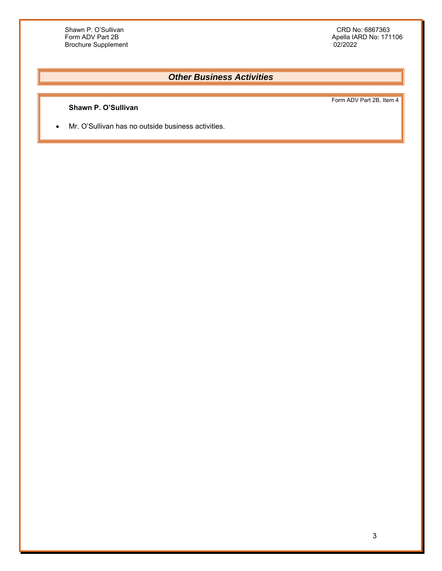Apella IARD No: 171106<br>02/2022

## *Other Business Activities*

### **Shawn P. O'Sullivan**

Form ADV Part 2B, Item 4

Mr. O'Sullivan has no outside business activities.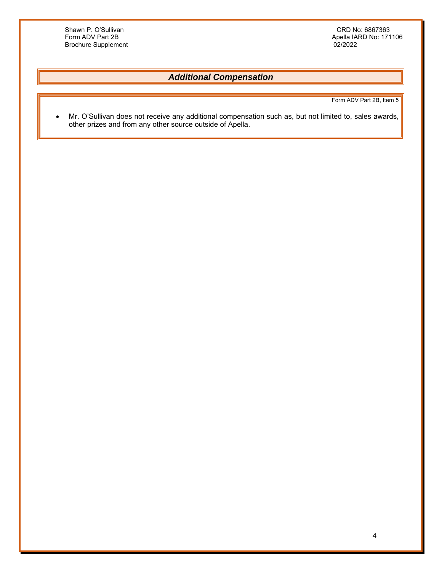Shawn P. O'Sullivan CRD Notes and CRD Notes and CRD Notes and CRD Notes and CRD Notes and CRD Notes are CRD No<br>
CRD Notes and CRD Notes and CRD Notes and CRD Notes are CRD Notes and CRD Notes are CRD Notes and CRD Notes an Brochure Supplement

Apella IARD No: 171106<br>02/2022

## *Additional Compensation*

Form ADV Part 2B, Item 5

• Mr. O'Sullivan does not receive any additional compensation such as, but not limited to, sales awards, other prizes and from any other source outside of Apella.